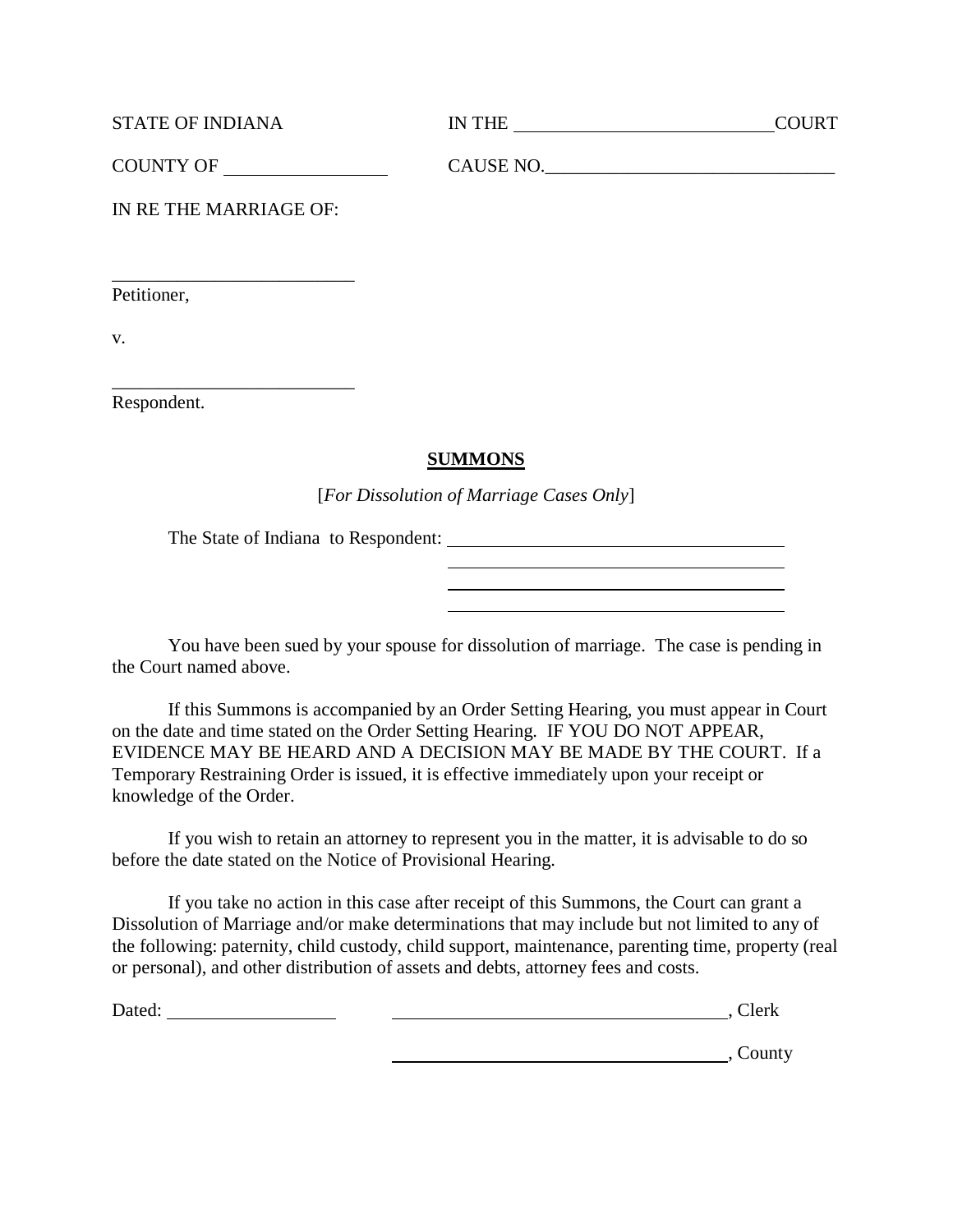| <b>STATE OF INDIANA</b> | IN THE | COURT |
|-------------------------|--------|-------|
|                         |        |       |

| <b>COUNTY OF</b> | <b>ALISE NO</b><br><b>CHUDLIV</b><br>$\sim$<br>______ |
|------------------|-------------------------------------------------------|
|------------------|-------------------------------------------------------|

IN RE THE MARRIAGE OF:

\_\_\_\_\_\_\_\_\_\_\_\_\_\_\_\_\_\_\_\_\_\_\_\_\_\_

\_\_\_\_\_\_\_\_\_\_\_\_\_\_\_\_\_\_\_\_\_\_\_\_\_\_

Petitioner,

v.

Respondent.

## **SUMMONS**

[*For Dissolution of Marriage Cases Only*]

The State of Indiana to Respondent:

You have been sued by your spouse for dissolution of marriage. The case is pending in the Court named above.

If this Summons is accompanied by an Order Setting Hearing, you must appear in Court on the date and time stated on the Order Setting Hearing. IF YOU DO NOT APPEAR, EVIDENCE MAY BE HEARD AND A DECISION MAY BE MADE BY THE COURT. If a Temporary Restraining Order is issued, it is effective immediately upon your receipt or knowledge of the Order.

If you wish to retain an attorney to represent you in the matter, it is advisable to do so before the date stated on the Notice of Provisional Hearing.

If you take no action in this case after receipt of this Summons, the Court can grant a Dissolution of Marriage and/or make determinations that may include but not limited to any of the following: paternity, child custody, child support, maintenance, parenting time, property (real or personal), and other distribution of assets and debts, attorney fees and costs.

Dated: , Clerk

**County**, County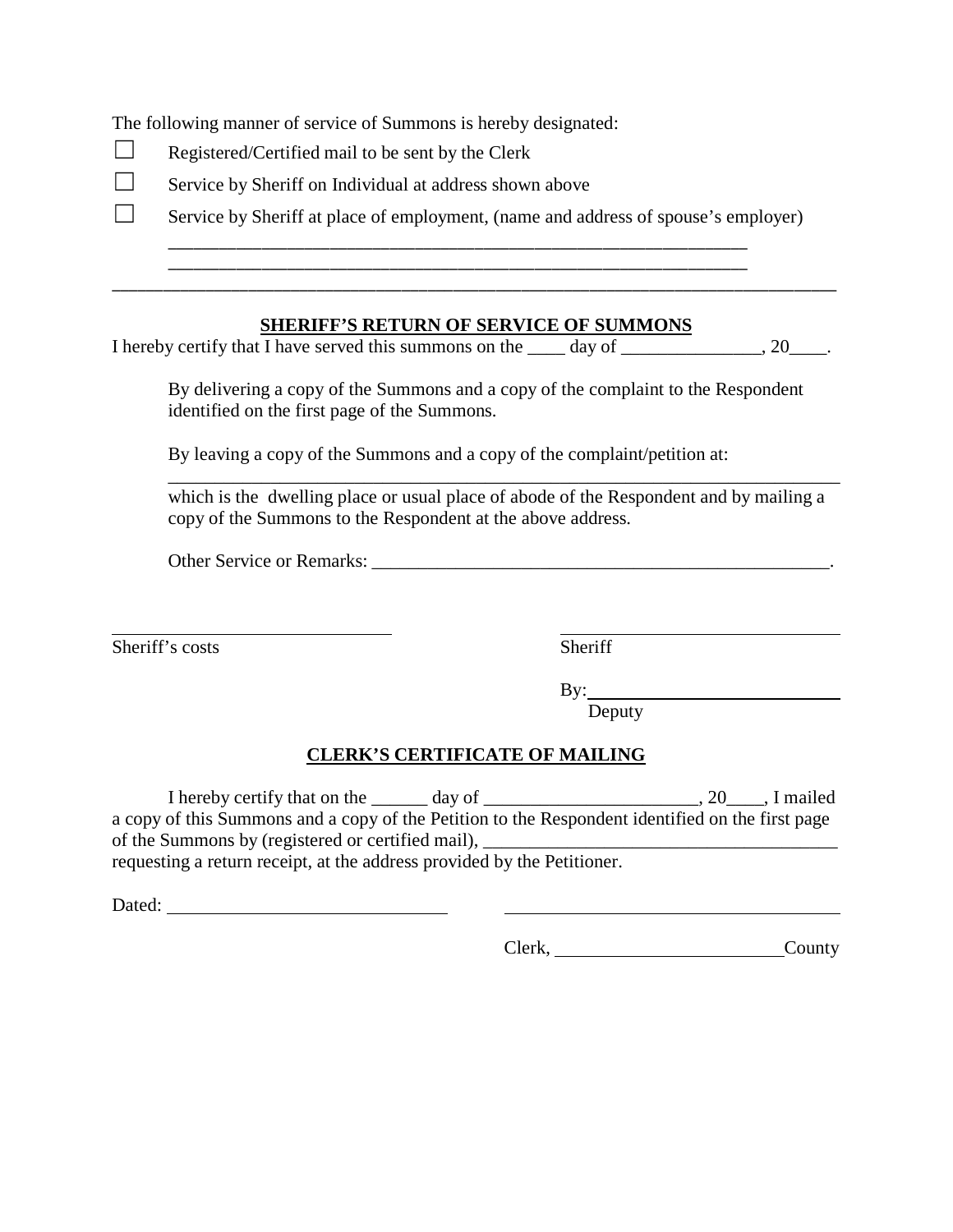The following manner of service of Summons is hereby designated:

- $\Box$  Registered/Certified mail to be sent by the Clerk
- $\Box$  Service by Sheriff on Individual at address shown above

 $\Box$  Service by Sheriff at place of employment, (name and address of spouse's employer)

### **SHERIFF'S RETURN OF SERVICE OF SUMMONS**

I hereby certify that I have served this summons on the \_\_\_\_ day of \_\_\_\_\_\_\_\_\_\_\_\_\_, 20\_\_\_\_.

\_\_\_\_\_\_\_\_\_\_\_\_\_\_\_\_\_\_\_\_\_\_\_\_\_\_\_\_\_\_\_\_\_\_\_\_\_\_\_\_\_\_\_\_\_\_\_\_\_\_\_\_\_\_\_\_\_\_\_\_\_\_\_\_\_\_\_\_ \_\_\_\_\_\_\_\_\_\_\_\_\_\_\_\_\_\_\_\_\_\_\_\_\_\_\_\_\_\_\_\_\_\_\_\_\_\_\_\_\_\_\_\_\_\_\_\_\_\_\_\_\_\_\_\_\_\_\_\_\_\_\_\_\_\_\_\_ \_\_\_\_\_\_\_\_\_\_\_\_\_\_\_\_\_\_\_\_\_\_\_\_\_\_\_\_\_\_\_\_\_\_\_\_\_\_\_\_\_\_\_\_\_\_\_\_\_\_\_\_\_\_\_\_\_\_\_\_\_\_\_\_\_\_\_\_\_\_\_\_\_\_\_\_\_\_\_\_\_\_\_\_\_

By delivering a copy of the Summons and a copy of the complaint to the Respondent identified on the first page of the Summons.

By leaving a copy of the Summons and a copy of the complaint/petition at:

\_\_\_\_\_\_\_\_\_\_\_\_\_\_\_\_\_\_\_\_\_\_\_\_\_\_\_\_\_\_\_\_\_\_\_\_\_\_\_\_\_\_\_\_\_\_\_\_\_\_\_\_\_\_\_\_\_\_\_\_\_\_\_\_\_\_\_\_\_\_\_\_ which is the dwelling place or usual place of abode of the Respondent and by mailing a copy of the Summons to the Respondent at the above address.

Other Service or Remarks: \_\_\_\_\_\_\_\_\_\_\_\_\_\_\_\_\_\_\_\_\_\_\_\_\_\_\_\_\_\_\_\_\_\_\_\_\_\_\_\_\_\_\_\_\_\_\_\_\_.

 $\overline{a}$ Sheriff's costs Sheriff

By: By: Deputy

## **CLERK'S CERTIFICATE OF MAILING**

I hereby certify that on the \_\_\_\_\_\_ day of \_\_\_\_\_\_\_\_\_\_\_\_\_\_\_\_\_\_\_\_, 20\_\_\_\_, I mailed a copy of this Summons and a copy of the Petition to the Respondent identified on the first page of the Summons by (registered or certified mail),

requesting a return receipt, at the address provided by the Petitioner.

Dated:

Clerk, County